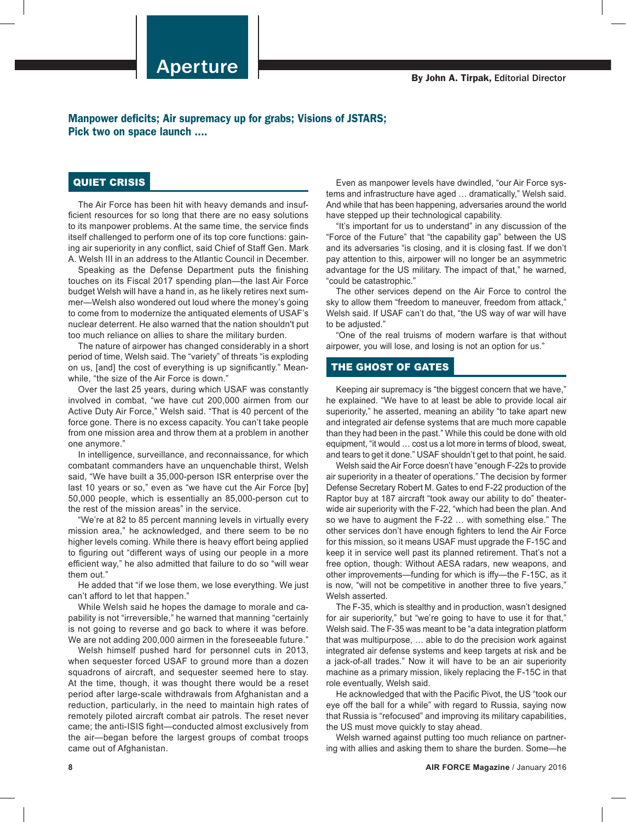Manpower deficits; Air supremacy up for grabs; Visions of JSTARS; Pick two on space launch ....

## QUIET CRISIS

The Air Force has been hit with heavy demands and insufficient resources for so long that there are no easy solutions to its manpower problems. At the same time, the service finds itself challenged to perform one of its top core functions: gaining air superiority in any conflict, said Chief of Staff Gen. Mark A. Welsh III in an address to the Atlantic Council in December.

Speaking as the Defense Department puts the finishing touches on its Fiscal 2017 spending plan—the last Air Force budget Welsh will have a hand in, as he likely retires next summer—Welsh also wondered out loud where the money's going to come from to modernize the antiquated elements of USAF's nuclear deterrent. He also warned that the nation shouldn't put too much reliance on allies to share the military burden.

The nature of airpower has changed considerably in a short period of time, Welsh said. The "variety" of threats "is exploding on us, [and] the cost of everything is up significantly." Meanwhile, "the size of the Air Force is down."

Over the last 25 years, during which USAF was constantly involved in combat, "we have cut 200,000 airmen from our Active Duty Air Force," Welsh said. "That is 40 percent of the force gone. There is no excess capacity. You can't take people from one mission area and throw them at a problem in another one anymore."

In intelligence, surveillance, and reconnaissance, for which combatant commanders have an unquenchable thirst, Welsh said, "We have built a 35,000-person ISR enterprise over the last 10 years or so," even as "we have cut the Air Force [by] 50,000 people, which is essentially an 85,000-person cut to the rest of the mission areas" in the service.

"We're at 82 to 85 percent manning levels in virtually every mission area," he acknowledged, and there seem to be no higher levels coming. While there is heavy effort being applied to figuring out "different ways of using our people in a more efficient way," he also admitted that failure to do so "will wear them out."

He added that "if we lose them, we lose everything. We just can't afford to let that happen."

While Welsh said he hopes the damage to morale and capability is not "irreversible," he warned that manning "certainly is not going to reverse and go back to where it was before. We are not adding 200,000 airmen in the foreseeable future."

Welsh himself pushed hard for personnel cuts in 2013, when sequester forced USAF to ground more than a dozen squadrons of aircraft, and sequester seemed here to stay. At the time, though, it was thought there would be a reset period after large-scale withdrawals from Afghanistan and a reduction, particularly, in the need to maintain high rates of remotely piloted aircraft combat air patrols. The reset never came; the anti-ISIS fight—conducted almost exclusively from the air—began before the largest groups of combat troops came out of Afghanistan.

Even as manpower levels have dwindled, "our Air Force systems and infrastructure have aged … dramatically," Welsh said. And while that has been happening, adversaries around the world have stepped up their technological capability.

"It's important for us to understand" in any discussion of the "Force of the Future" that "the capability gap" between the US and its adversaries "is closing, and it is closing fast. If we don't pay attention to this, airpower will no longer be an asymmetric advantage for the US military. The impact of that," he warned, "could be catastrophic."

The other services depend on the Air Force to control the sky to allow them "freedom to maneuver, freedom from attack," Welsh said. If USAF can't do that, "the US way of war will have to be adjusted."

"One of the real truisms of modern warfare is that without airpower, you will lose, and losing is not an option for us."

## THE GHOST OF GATES

Keeping air supremacy is "the biggest concern that we have," he explained. "We have to at least be able to provide local air superiority," he asserted, meaning an ability "to take apart new and integrated air defense systems that are much more capable than they had been in the past." While this could be done with old equipment, "it would … cost us a lot more in terms of blood, sweat, and tears to get it done." USAF shouldn't get to that point, he said.

Welsh said the Air Force doesn't have "enough F-22s to provide air superiority in a theater of operations." The decision by former Defense Secretary Robert M. Gates to end F-22 production of the Raptor buy at 187 aircraft "took away our ability to do" theaterwide air superiority with the F-22, "which had been the plan. And so we have to augment the F-22 … with something else." The other services don't have enough fighters to lend the Air Force for this mission, so it means USAF must upgrade the F-15C and keep it in service well past its planned retirement. That's not a free option, though: Without AESA radars, new weapons, and other improvements—funding for which is iffy—the F-15C, as it is now, "will not be competitive in another three to five years," Welsh asserted.

The F-35, which is stealthy and in production, wasn't designed for air superiority," but "we're going to have to use it for that," Welsh said. The F-35 was meant to be "a data integration platform that was multipurpose, … able to do the precision work against integrated air defense systems and keep targets at risk and be a jack-of-all trades." Now it will have to be an air superiority machine as a primary mission, likely replacing the F-15C in that role eventually, Welsh said.

He acknowledged that with the Pacific Pivot, the US "took our eye off the ball for a while" with regard to Russia, saying now that Russia is "refocused" and improving its military capabilities, the US must move quickly to stay ahead.

Welsh warned against putting too much reliance on partnering with allies and asking them to share the burden. Some—he